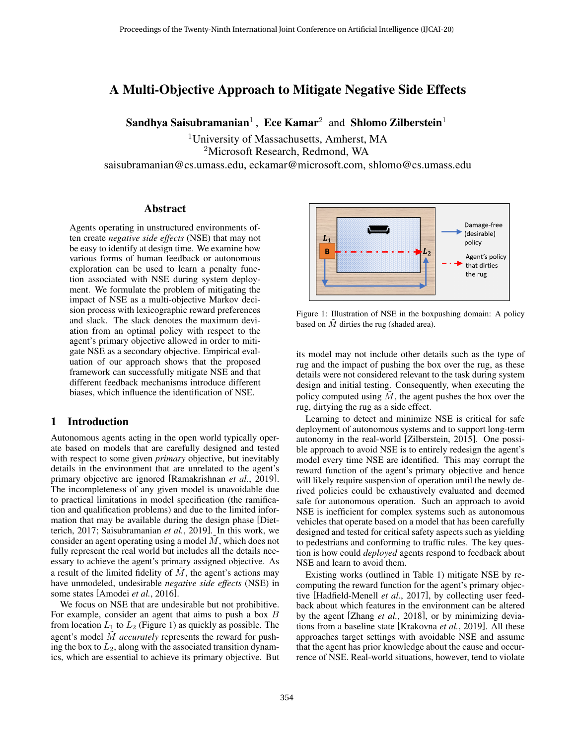# A Multi-Objective Approach to Mitigate Negative Side Effects

Sandhya Saisubramanian<sup>1</sup>, Ece Kamar<sup>2</sup> and Shlomo Zilberstein<sup>1</sup>

<sup>1</sup>University of Massachusetts, Amherst, MA

<sup>2</sup>Microsoft Research, Redmond, WA

saisubramanian@cs.umass.edu, eckamar@microsoft.com, shlomo@cs.umass.edu

#### Abstract

Agents operating in unstructured environments often create *negative side effects* (NSE) that may not be easy to identify at design time. We examine how various forms of human feedback or autonomous exploration can be used to learn a penalty function associated with NSE during system deployment. We formulate the problem of mitigating the impact of NSE as a multi-objective Markov decision process with lexicographic reward preferences and slack. The slack denotes the maximum deviation from an optimal policy with respect to the agent's primary objective allowed in order to mitigate NSE as a secondary objective. Empirical evaluation of our approach shows that the proposed framework can successfully mitigate NSE and that different feedback mechanisms introduce different biases, which influence the identification of NSE.

## 1 Introduction

Autonomous agents acting in the open world typically operate based on models that are carefully designed and tested with respect to some given *primary* objective, but inevitably details in the environment that are unrelated to the agent's primary objective are ignored [\[Ramakrishnan](#page-7-0) *et al.*, 2019]. The incompleteness of any given model is unavoidable due to practical limitations in model specification (the ramification and qualification problems) and due to the limited information that may be available during the design phase [\[Diet](#page-7-1)[terich, 2017;](#page-7-1) [Saisubramanian](#page-7-2) *et al.*, 2019]. In this work, we consider an agent operating using a model  $M$ , which does not fully represent the real world but includes all the details necessary to achieve the agent's primary assigned objective. As a result of the limited fidelity of  $M$ , the agent's actions may have unmodeled, undesirable *negative side effects* (NSE) in some states [\[Amodei](#page-7-3) *et al.*, 2016].

We focus on NSE that are undesirable but not prohibitive. For example, consider an agent that aims to push a box  $B$ from location  $L_1$  to  $L_2$  (Figure [1\)](#page-0-0) as quickly as possible. The agent's model  $\tilde{M}$  *accurately* represents the reward for pushing the box to  $L_2$ , along with the associated transition dynamics, which are essential to achieve its primary objective. But

<span id="page-0-0"></span>

Figure 1: Illustration of NSE in the boxpushing domain: A policy based on  $\overline{M}$  dirties the rug (shaded area).

its model may not include other details such as the type of rug and the impact of pushing the box over the rug, as these details were not considered relevant to the task during system design and initial testing. Consequently, when executing the policy computed using  $M$ , the agent pushes the box over the rug, dirtying the rug as a side effect.

Learning to detect and minimize NSE is critical for safe deployment of autonomous systems and to support long-term autonomy in the real-world [\[Zilberstein, 2015\]](#page-7-4). One possible approach to avoid NSE is to entirely redesign the agent's model every time NSE are identified. This may corrupt the reward function of the agent's primary objective and hence will likely require suspension of operation until the newly derived policies could be exhaustively evaluated and deemed safe for autonomous operation. Such an approach to avoid NSE is inefficient for complex systems such as autonomous vehicles that operate based on a model that has been carefully designed and tested for critical safety aspects such as yielding to pedestrians and conforming to traffic rules. The key question is how could *deployed* agents respond to feedback about NSE and learn to avoid them.

Existing works (outlined in Table [1\)](#page-1-0) mitigate NSE by recomputing the reward function for the agent's primary objective [\[Hadfield-Menell](#page-7-5) *et al.*, 2017], by collecting user feedback about which features in the environment can be altered by the agent [Zhang *et al.*[, 2018\]](#page-7-6), or by minimizing deviations from a baseline state [\[Krakovna](#page-7-7) *et al.*, 2019]. All these approaches target settings with avoidable NSE and assume that the agent has prior knowledge about the cause and occurrence of NSE. Real-world situations, however, tend to violate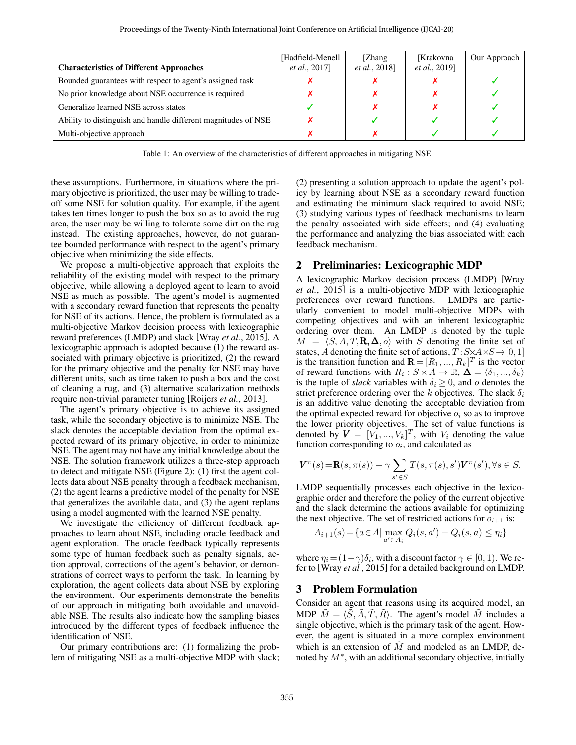<span id="page-1-0"></span>

| <b>Characteristics of Different Approaches</b>                | [Hadfield-Menell]<br><i>et al.</i> , 2017] | [Zhang]<br><i>et al.</i> , 2018] | <b>[Krakovna</b><br><i>et al.</i> , 2019] | Our Approach |
|---------------------------------------------------------------|--------------------------------------------|----------------------------------|-------------------------------------------|--------------|
| Bounded guarantees with respect to agent's assigned task      |                                            |                                  |                                           |              |
| No prior knowledge about NSE occurrence is required           |                                            |                                  |                                           |              |
| Generalize learned NSE across states                          |                                            |                                  |                                           |              |
| Ability to distinguish and handle different magnitudes of NSE |                                            |                                  |                                           |              |
| Multi-objective approach                                      |                                            |                                  |                                           |              |

Table 1: An overview of the characteristics of different approaches in mitigating NSE.

these assumptions. Furthermore, in situations where the primary objective is prioritized, the user may be willing to tradeoff some NSE for solution quality. For example, if the agent takes ten times longer to push the box so as to avoid the rug area, the user may be willing to tolerate some dirt on the rug instead. The existing approaches, however, do not guarantee bounded performance with respect to the agent's primary objective when minimizing the side effects.

We propose a multi-objective approach that exploits the reliability of the existing model with respect to the primary objective, while allowing a deployed agent to learn to avoid NSE as much as possible. The agent's model is augmented with a secondary reward function that represents the penalty for NSE of its actions. Hence, the problem is formulated as a multi-objective Markov decision process with lexicographic reward preferences (LMDP) and slack [Wray *et al.*[, 2015\]](#page-7-8). A lexicographic approach is adopted because (1) the reward associated with primary objective is prioritized, (2) the reward for the primary objective and the penalty for NSE may have different units, such as time taken to push a box and the cost of cleaning a rug, and (3) alternative scalarization methods require non-trivial parameter tuning [\[Roijers](#page-7-9) *et al.*, 2013].

The agent's primary objective is to achieve its assigned task, while the secondary objective is to minimize NSE. The slack denotes the acceptable deviation from the optimal expected reward of its primary objective, in order to minimize NSE. The agent may not have any initial knowledge about the NSE. The solution framework utilizes a three-step approach to detect and mitigate NSE (Figure [2\)](#page-2-0): (1) first the agent collects data about NSE penalty through a feedback mechanism, (2) the agent learns a predictive model of the penalty for NSE that generalizes the available data, and (3) the agent replans using a model augmented with the learned NSE penalty.

We investigate the efficiency of different feedback approaches to learn about NSE, including oracle feedback and agent exploration. The oracle feedback typically represents some type of human feedback such as penalty signals, action approval, corrections of the agent's behavior, or demonstrations of correct ways to perform the task. In learning by exploration, the agent collects data about NSE by exploring the environment. Our experiments demonstrate the benefits of our approach in mitigating both avoidable and unavoidable NSE. The results also indicate how the sampling biases introduced by the different types of feedback influence the identification of NSE.

Our primary contributions are: (1) formalizing the problem of mitigating NSE as a multi-objective MDP with slack; (2) presenting a solution approach to update the agent's policy by learning about NSE as a secondary reward function and estimating the minimum slack required to avoid NSE; (3) studying various types of feedback mechanisms to learn the penalty associated with side effects; and (4) evaluating the performance and analyzing the bias associated with each feedback mechanism.

#### 2 Preliminaries: Lexicographic MDP

A lexicographic Markov decision process (LMDP) [\[Wray](#page-7-8) *et al.*[, 2015\]](#page-7-8) is a multi-objective MDP with lexicographic preferences over reward functions. LMDPs are particularly convenient to model multi-objective MDPs with competing objectives and with an inherent lexicographic ordering over them. An LMDP is denoted by the tuple  $M = \langle S, A, T, \mathbf{R}, \Delta, o \rangle$  with S denoting the finite set of states, A denoting the finite set of actions,  $T: S \times A \times S \rightarrow [0, 1]$ is the transition function and  $\mathbf{R} = [R_1, ..., R_k]^T$  is the vector of reward functions with  $R_i: S \times A \to \mathbb{R}, \Delta = \langle \delta_1, ..., \delta_k \rangle$ is the tuple of *slack* variables with  $\delta_i \geq 0$ , and o denotes the strict preference ordering over the k objectives. The slack  $\delta_i$ is an additive value denoting the acceptable deviation from the optimal expected reward for objective  $o_i$  so as to improve the lower priority objectives. The set of value functions is denoted by  $V = [V_1, ..., V_k]^T$ , with  $V_i$  denoting the value function corresponding to  $o_i$ , and calculated as

$$
\boldsymbol{V}^{\pi}(s) = \mathbf{R}(s, \pi(s)) + \gamma \sum_{s' \in S} T(s, \pi(s), s') \boldsymbol{V}^{\pi}(s'), \forall s \in S.
$$

LMDP sequentially processes each objective in the lexicographic order and therefore the policy of the current objective and the slack determine the actions available for optimizing the next objective. The set of restricted actions for  $o_{i+1}$  is:

$$
A_{i+1}(s) = \{a \in A \mid \max_{a' \in A_i} Q_i(s, a') - Q_i(s, a) \le \eta_i\}
$$

where  $\eta_i = (1 - \gamma)\delta_i$ , with a discount factor  $\gamma \in [0, 1)$ . We refer to [Wray *et al.*[, 2015\]](#page-7-8) for a detailed background on LMDP.

# 3 Problem Formulation

Consider an agent that reasons using its acquired model, an MDP  $\tilde{M} = \langle \tilde{S}, \tilde{A}, \tilde{T}, \tilde{R} \rangle$ . The agent's model  $\tilde{M}$  includes a single objective, which is the primary task of the agent. However, the agent is situated in a more complex environment which is an extension of  $\tilde{M}$  and modeled as an LMDP, denoted by  $M^*$ , with an additional secondary objective, initially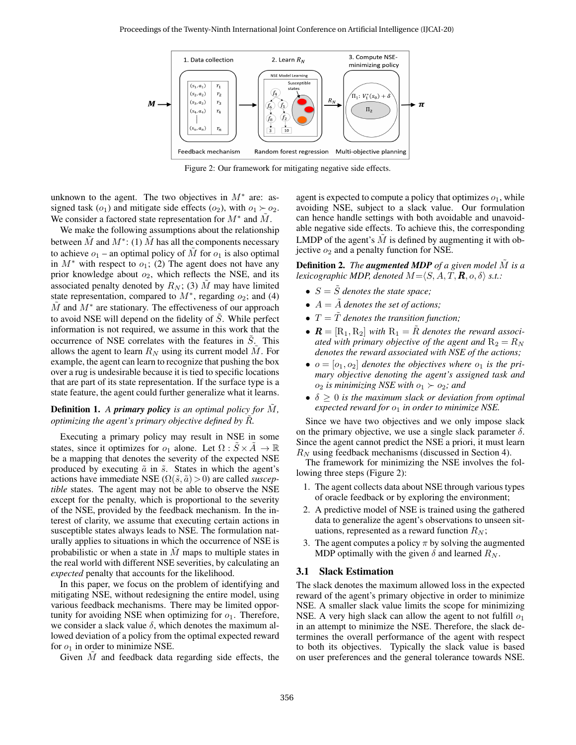<span id="page-2-0"></span>

Figure 2: Our framework for mitigating negative side effects.

unknown to the agent. The two objectives in  $M^*$  are: assigned task  $(o_1)$  and mitigate side effects  $(o_2)$ , with  $o_1 \succ o_2$ . We consider a factored state representation for  $M^*$  and  $\tilde{M}$ .

We make the following assumptions about the relationship between  $\tilde{M}$  and  $M^*$ : (1)  $\tilde{M}$  has all the components necessary to achieve  $o_1$  – an optimal policy of  $\tilde{M}$  for  $o_1$  is also optimal in  $M^*$  with respect to  $o_1$ ; (2) The agent does not have any prior knowledge about  $o_2$ , which reflects the NSE, and its associated penalty denoted by  $R_N$ ; (3)  $\tilde{M}$  may have limited state representation, compared to  $M^*$ , regarding  $o_2$ ; and (4)  $\tilde{M}$  and  $M^*$  are stationary. The effectiveness of our approach to avoid NSE will depend on the fidelity of  $S$ . While perfect information is not required, we assume in this work that the occurrence of NSE correlates with the features in  $\tilde{S}$ . This allows the agent to learn  $R_N$  using its current model  $\tilde{M}$ . For example, the agent can learn to recognize that pushing the box over a rug is undesirable because it is tied to specific locations that are part of its state representation. If the surface type is a state feature, the agent could further generalize what it learns.

## **Definition 1.** A *primary policy is an optimal policy for* M, *optimizing the agent's primary objective defined by R.*

Executing a primary policy may result in NSE in some states, since it optimizes for  $o_1$  alone. Let  $\Omega : S \times A \rightarrow \mathbb{R}$ be a mapping that denotes the severity of the expected NSE produced by executing  $\tilde{a}$  in  $\tilde{s}$ . States in which the agent's actions have immediate NSE  $(\Omega(\tilde{s}, \tilde{a}) > 0)$  are called *susceptible* states. The agent may not be able to observe the NSE except for the penalty, which is proportional to the severity of the NSE, provided by the feedback mechanism. In the interest of clarity, we assume that executing certain actions in susceptible states always leads to NSE. The formulation naturally applies to situations in which the occurrence of NSE is probabilistic or when a state in  $M$  maps to multiple states in the real world with different NSE severities, by calculating an *expected* penalty that accounts for the likelihood.

In this paper, we focus on the problem of identifying and mitigating NSE, without redesigning the entire model, using various feedback mechanisms. There may be limited opportunity for avoiding NSE when optimizing for  $o_1$ . Therefore, we consider a slack value  $\delta$ , which denotes the maximum allowed deviation of a policy from the optimal expected reward for  $o_1$  in order to minimize NSE.

Given  $M$  and feedback data regarding side effects, the

agent is expected to compute a policy that optimizes  $o_1$ , while avoiding NSE, subject to a slack value. Our formulation can hence handle settings with both avoidable and unavoidable negative side effects. To achieve this, the corresponding LMDP of the agent's  $\tilde{M}$  is defined by augmenting it with objective  $o_2$  and a penalty function for NSE.

**Definition 2.** *The augmented MDP of a given model*  $\tilde{M}$  *is a lexicographic MDP, denoted*  $M = \langle S, A, T, \mathbf{R}, o, \delta \rangle$  *s.t.:* 

- $S = \tilde{S}$  *denotes the state space*;
- $A = \tilde{A}$  *denotes the set of actions;*
- $T = \tilde{T}$  *denotes the transition function;*
- $\mathbf{R} = [\mathbf{R}_1, \mathbf{R}_2]$  *with*  $\mathbf{R}_1 = \tilde{R}$  *denotes the reward associated with primary objective of the agent and*  $R_2 = R_N$ *denotes the reward associated with NSE of the actions;*
- $o = [o_1, o_2]$  *denotes the objectives where*  $o_1$  *is the primary objective denoting the agent's assigned task and*  $o_2$  *is minimizing NSE with*  $o_1 \succ o_2$ *; and*
- $\delta \geq 0$  *is the maximum slack or deviation from optimal expected reward for*  $o_1$  *in order to minimize NSE.*

Since we have two objectives and we only impose slack on the primary objective, we use a single slack parameter  $\delta$ . Since the agent cannot predict the NSE a priori, it must learn  $R_N$  using feedback mechanisms (discussed in Section 4).

The framework for minimizing the NSE involves the following three steps (Figure [2\)](#page-2-0):

- 1. The agent collects data about NSE through various types of oracle feedback or by exploring the environment;
- 2. A predictive model of NSE is trained using the gathered data to generalize the agent's observations to unseen situations, represented as a reward function  $R_N$ ;
- 3. The agent computes a policy  $\pi$  by solving the augmented MDP optimally with the given  $\delta$  and learned  $R_N$ .

### 3.1 Slack Estimation

The slack denotes the maximum allowed loss in the expected reward of the agent's primary objective in order to minimize NSE. A smaller slack value limits the scope for minimizing NSE. A very high slack can allow the agent to not fulfill  $o_1$ in an attempt to minimize the NSE. Therefore, the slack determines the overall performance of the agent with respect to both its objectives. Typically the slack value is based on user preferences and the general tolerance towards NSE.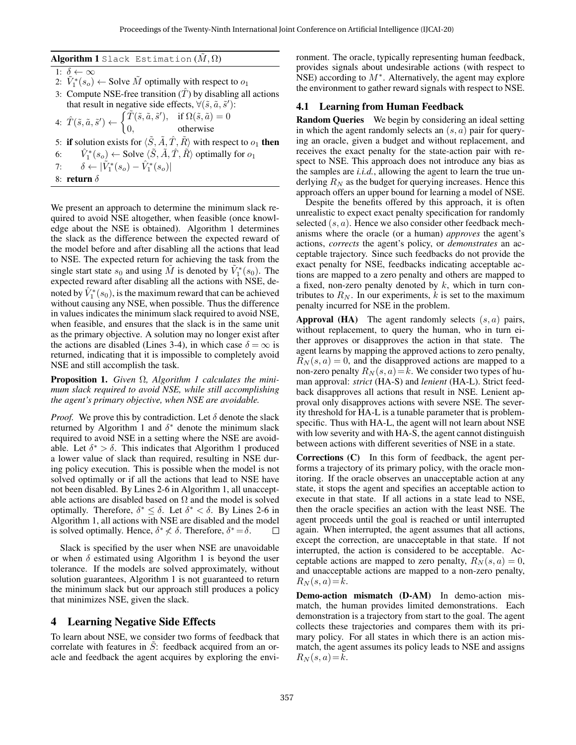<span id="page-3-0"></span>Algorithm 1 Slack Estimation  $(M, \Omega)$ 

1:  $\delta \leftarrow \infty$ 

- 2:  $\tilde{V}_1^*(s_o) \leftarrow$  Solve  $\tilde{M}$  optimally with respect to  $o_1$
- 3: Compute NSE-free transition  $(\hat{T})$  by disabling all actions that result in negative side effects,  $\forall (\tilde{s}, \tilde{a}, \tilde{s}')$ :

4:  $\hat{T}(\tilde{s}, \tilde{a}, \tilde{s}') \leftarrow \begin{cases} \tilde{T}(\tilde{s}, \tilde{a}, \tilde{s}'), & \text{if } \Omega(\tilde{s}, \tilde{a}) = 0 \\ 0 & \text{otherwise} \end{cases}$ 0, otherwise

- 5: if solution exists for  $\langle \tilde{S}, \tilde{A}, \hat{T}, \tilde{R} \rangle$  with respect to  $o_1$  then 6:  $\hat{V}_1^*(s_o) \leftarrow \text{Solve } \langle \tilde{S}, \tilde{A}, \hat{T}, \tilde{R} \rangle \text{ optimally for } o_1$
- 7:  $\delta \leftarrow |\tilde{V}_1^*(s_o) \hat{V}_1^*(s_o)|$
- 8: return  $\delta$

We present an approach to determine the minimum slack required to avoid NSE altogether, when feasible (once knowledge about the NSE is obtained). Algorithm [1](#page-3-0) determines the slack as the difference between the expected reward of the model before and after disabling all the actions that lead to NSE. The expected return for achieving the task from the single start state  $s_0$  and using  $\tilde{M}$  is denoted by  $\tilde{V}_1^*(s_0)$ . The expected reward after disabling all the actions with NSE, denoted by  $\hat{V}^*_1(s_0)$ , is the maximum reward that can be achieved without causing any NSE, when possible. Thus the difference in values indicates the minimum slack required to avoid NSE, when feasible, and ensures that the slack is in the same unit as the primary objective. A solution may no longer exist after the actions are disabled (Lines 3-4), in which case  $\delta = \infty$  is returned, indicating that it is impossible to completely avoid NSE and still accomplish the task.

Proposition 1. *Given* Ω*, Algorithm [1](#page-3-0) calculates the minimum slack required to avoid NSE, while still accomplishing the agent's primary objective, when NSE are avoidable.*

*Proof.* We prove this by contradiction. Let  $\delta$  denote the slack returned by Algorithm [1](#page-3-0) and  $\delta^*$  denote the minimum slack required to avoid NSE in a setting where the NSE are avoidable. Let  $\delta^* > \delta$ . This indicates that Algorithm [1](#page-3-0) produced a lower value of slack than required, resulting in NSE during policy execution. This is possible when the model is not solved optimally or if all the actions that lead to NSE have not been disabled. By Lines 2-6 in Algorithm [1,](#page-3-0) all unacceptable actions are disabled based on  $\Omega$  and the model is solved optimally. Therefore,  $\delta^* \leq \delta$ . Let  $\delta^* < \delta$ . By Lines 2-6 in Algorithm [1,](#page-3-0) all actions with NSE are disabled and the model is solved optimally. Hence,  $\delta^* \neq \delta$ . Therefore,  $\delta^* = \delta$ . П

Slack is specified by the user when NSE are unavoidable or when  $\delta$  estimated using Algorithm [1](#page-3-0) is beyond the user tolerance. If the models are solved approximately, without solution guarantees, Algorithm [1](#page-3-0) is not guaranteed to return the minimum slack but our approach still produces a policy that minimizes NSE, given the slack.

## 4 Learning Negative Side Effects

To learn about NSE, we consider two forms of feedback that correlate with features in  $S$ : feedback acquired from an oracle and feedback the agent acquires by exploring the environment. The oracle, typically representing human feedback, provides signals about undesirable actions (with respect to NSE) according to  $M^*$ . Alternatively, the agent may explore the environment to gather reward signals with respect to NSE.

## 4.1 Learning from Human Feedback

Random Queries We begin by considering an ideal setting in which the agent randomly selects an  $(s, a)$  pair for querying an oracle, given a budget and without replacement, and receives the exact penalty for the state-action pair with respect to NSE. This approach does not introduce any bias as the samples are *i.i.d.*, allowing the agent to learn the true underlying  $R_N$  as the budget for querying increases. Hence this approach offers an upper bound for learning a model of NSE.

Despite the benefits offered by this approach, it is often unrealistic to expect exact penalty specification for randomly selected  $(s, a)$ . Hence we also consider other feedback mechanisms where the oracle (or a human) *approves* the agent's actions, *corrects* the agent's policy, or *demonstrates* an acceptable trajectory. Since such feedbacks do not provide the exact penalty for NSE, feedbacks indicating acceptable actions are mapped to a zero penalty and others are mapped to a fixed, non-zero penalty denoted by  $k$ , which in turn contributes to  $R_N$ . In our experiments, k is set to the maximum penalty incurred for NSE in the problem.

**Approval (HA)** The agent randomly selects  $(s, a)$  pairs, without replacement, to query the human, who in turn either approves or disapproves the action in that state. The agent learns by mapping the approved actions to zero penalty,  $R_N(s, a) = 0$ , and the disapproved actions are mapped to a non-zero penalty  $R_N(s, a) = k$ . We consider two types of human approval: *strict* (HA-S) and *lenient* (HA-L). Strict feedback disapproves all actions that result in NSE. Lenient approval only disapproves actions with severe NSE. The severity threshold for HA-L is a tunable parameter that is problemspecific. Thus with HA-L, the agent will not learn about NSE with low severity and with HA-S, the agent cannot distinguish between actions with different severities of NSE in a state.

Corrections (C) In this form of feedback, the agent performs a trajectory of its primary policy, with the oracle monitoring. If the oracle observes an unacceptable action at any state, it stops the agent and specifies an acceptable action to execute in that state. If all actions in a state lead to NSE, then the oracle specifies an action with the least NSE. The agent proceeds until the goal is reached or until interrupted again. When interrupted, the agent assumes that all actions, except the correction, are unacceptable in that state. If not interrupted, the action is considered to be acceptable. Acceptable actions are mapped to zero penalty,  $R_N(s, a) = 0$ , and unacceptable actions are mapped to a non-zero penalty,  $R_N(s,a)=k.$ 

Demo-action mismatch (D-AM) In demo-action mismatch, the human provides limited demonstrations. Each demonstration is a trajectory from start to the goal. The agent collects these trajectories and compares them with its primary policy. For all states in which there is an action mismatch, the agent assumes its policy leads to NSE and assigns  $R_N(s,a)=k.$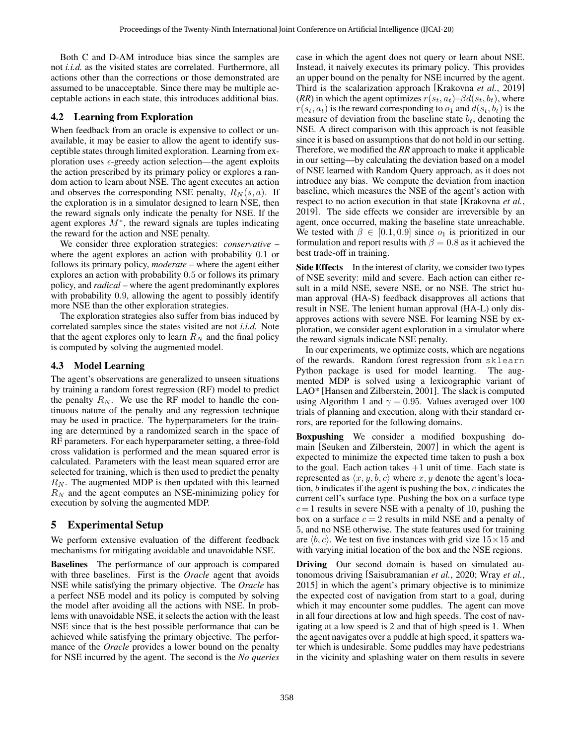Both C and D-AM introduce bias since the samples are not *i.i.d.* as the visited states are correlated. Furthermore, all actions other than the corrections or those demonstrated are assumed to be unacceptable. Since there may be multiple acceptable actions in each state, this introduces additional bias.

## 4.2 Learning from Exploration

When feedback from an oracle is expensive to collect or unavailable, it may be easier to allow the agent to identify susceptible states through limited exploration. Learning from exploration uses  $\epsilon$ -greedy action selection—the agent exploits the action prescribed by its primary policy or explores a random action to learn about NSE. The agent executes an action and observes the corresponding NSE penalty,  $R_N(s, a)$ . If the exploration is in a simulator designed to learn NSE, then the reward signals only indicate the penalty for NSE. If the agent explores  $M^*$ , the reward signals are tuples indicating the reward for the action and NSE penalty.

We consider three exploration strategies: *conservative* – where the agent explores an action with probability 0.1 or follows its primary policy, *moderate* – where the agent either explores an action with probability 0.5 or follows its primary policy, and *radical* – where the agent predominantly explores with probability 0.9, allowing the agent to possibly identify more NSE than the other exploration strategies.

The exploration strategies also suffer from bias induced by correlated samples since the states visited are not *i.i.d.* Note that the agent explores only to learn  $R_N$  and the final policy is computed by solving the augmented model.

## 4.3 Model Learning

The agent's observations are generalized to unseen situations by training a random forest regression (RF) model to predict the penalty  $R_N$ . We use the RF model to handle the continuous nature of the penalty and any regression technique may be used in practice. The hyperparameters for the training are determined by a randomized search in the space of RF parameters. For each hyperparameter setting, a three-fold cross validation is performed and the mean squared error is calculated. Parameters with the least mean squared error are selected for training, which is then used to predict the penalty  $R_N$ . The augmented MDP is then updated with this learned  $R_N$  and the agent computes an NSE-minimizing policy for execution by solving the augmented MDP.

# 5 Experimental Setup

We perform extensive evaluation of the different feedback mechanisms for mitigating avoidable and unavoidable NSE.

Baselines The performance of our approach is compared with three baselines. First is the *Oracle* agent that avoids NSE while satisfying the primary objective. The *Oracle* has a perfect NSE model and its policy is computed by solving the model after avoiding all the actions with NSE. In problems with unavoidable NSE, it selects the action with the least NSE since that is the best possible performance that can be achieved while satisfying the primary objective. The performance of the *Oracle* provides a lower bound on the penalty for NSE incurred by the agent. The second is the *No queries* case in which the agent does not query or learn about NSE. Instead, it naively executes its primary policy. This provides an upper bound on the penalty for NSE incurred by the agent. Third is the scalarization approach [\[Krakovna](#page-7-7) *et al.*, 2019] (*RR*) in which the agent optimizes  $r(s_t, a_t)$ – $\beta d(s_t, b_t)$ , where  $r(s_t, a_t)$  is the reward corresponding to  $o_1$  and  $d(s_t, b_t)$  is the measure of deviation from the baseline state  $b_t$ , denoting the NSE. A direct comparison with this approach is not feasible since it is based on assumptions that do not hold in our setting. Therefore, we modified the *RR* approach to make it applicable in our setting—by calculating the deviation based on a model of NSE learned with Random Query approach, as it does not introduce any bias. We compute the deviation from inaction baseline, which measures the NSE of the agent's action with respect to no action execution in that state [\[Krakovna](#page-7-7) *et al.*, [2019\]](#page-7-7). The side effects we consider are irreversible by an agent, once occurred, making the baseline state unreachable. We tested with  $\beta \in [0.1, 0.9]$  since  $o_1$  is prioritized in our formulation and report results with  $\beta = 0.8$  as it achieved the best trade-off in training.

Side Effects In the interest of clarity, we consider two types of NSE severity: mild and severe. Each action can either result in a mild NSE, severe NSE, or no NSE. The strict human approval (HA-S) feedback disapproves all actions that result in NSE. The lenient human approval (HA-L) only disapproves actions with severe NSE. For learning NSE by exploration, we consider agent exploration in a simulator where the reward signals indicate NSE penalty.

In our experiments, we optimize costs, which are negations of the rewards. Random forest regression from sklearn Python package is used for model learning. The augmented MDP is solved using a lexicographic variant of LAO\* [\[Hansen and Zilberstein, 2001\]](#page-7-10). The slack is computed using Algorithm [1](#page-3-0) and  $\gamma = 0.95$ . Values averaged over 100 trials of planning and execution, along with their standard errors, are reported for the following domains.

Boxpushing We consider a modified boxpushing domain [\[Seuken and Zilberstein, 2007\]](#page-7-11) in which the agent is expected to minimize the expected time taken to push a box to the goal. Each action takes  $+1$  unit of time. Each state is represented as  $\langle x, y, b, c \rangle$  where  $x, y$  denote the agent's location, b indicates if the agent is pushing the box, c indicates the current cell's surface type. Pushing the box on a surface type  $c=1$  results in severe NSE with a penalty of 10, pushing the box on a surface  $c = 2$  results in mild NSE and a penalty of 5, and no NSE otherwise. The state features used for training are  $\langle b, c \rangle$ . We test on five instances with grid size  $15 \times 15$  and with varying initial location of the box and the NSE regions.

Driving Our second domain is based on simulated autonomous driving [\[Saisubramanian](#page-7-12) *et al.*, 2020; [Wray](#page-7-8) *et al.*, [2015\]](#page-7-8) in which the agent's primary objective is to minimize the expected cost of navigation from start to a goal, during which it may encounter some puddles. The agent can move in all four directions at low and high speeds. The cost of navigating at a low speed is 2 and that of high speed is 1. When the agent navigates over a puddle at high speed, it spatters water which is undesirable. Some puddles may have pedestrians in the vicinity and splashing water on them results in severe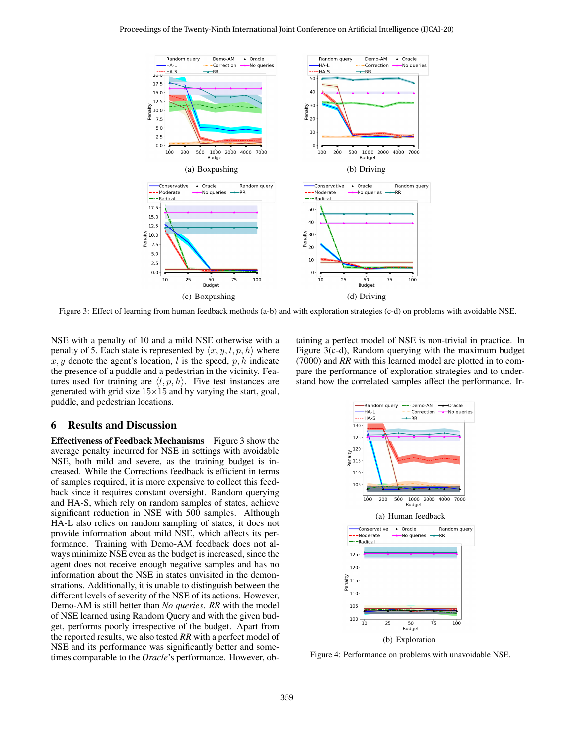<span id="page-5-0"></span>

Figure 3: Effect of learning from human feedback methods (a-b) and with exploration strategies (c-d) on problems with avoidable NSE.

NSE with a penalty of 10 and a mild NSE otherwise with a penalty of 5. Each state is represented by  $\langle x, y, l, p, h \rangle$  where  $x, y$  denote the agent's location, l is the speed,  $p, h$  indicate the presence of a puddle and a pedestrian in the vicinity. Features used for training are  $\langle l, p, h \rangle$ . Five test instances are generated with grid size  $15\times15$  and by varying the start, goal, puddle, and pedestrian locations.

## 6 Results and Discussion

Effectiveness of Feedback Mechanisms Figure [3](#page-5-0) show the average penalty incurred for NSE in settings with avoidable NSE, both mild and severe, as the training budget is increased. While the Corrections feedback is efficient in terms of samples required, it is more expensive to collect this feedback since it requires constant oversight. Random querying and HA-S, which rely on random samples of states, achieve significant reduction in NSE with 500 samples. Although HA-L also relies on random sampling of states, it does not provide information about mild NSE, which affects its performance. Training with Demo-AM feedback does not always minimize NSE even as the budget is increased, since the agent does not receive enough negative samples and has no information about the NSE in states unvisited in the demonstrations. Additionally, it is unable to distinguish between the different levels of severity of the NSE of its actions. However, Demo-AM is still better than *No queries*. *RR* with the model of NSE learned using Random Query and with the given budget, performs poorly irrespective of the budget. Apart from the reported results, we also tested *RR* with a perfect model of NSE and its performance was significantly better and sometimes comparable to the *Oracle*'s performance. However, obtaining a perfect model of NSE is non-trivial in practice. In Figure [3\(](#page-5-0)c-d), Random querying with the maximum budget (7000) and *RR* with this learned model are plotted in to compare the performance of exploration strategies and to understand how the correlated samples affect the performance. Ir-

<span id="page-5-1"></span>

Figure 4: Performance on problems with unavoidable NSE.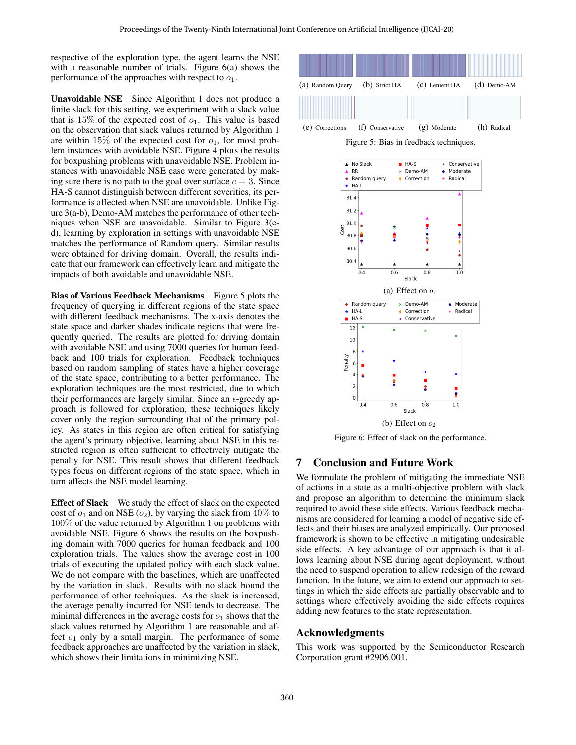respective of the exploration type, the agent learns the NSE with a reasonable number of trials. Figure [6\(a\)](#page-6-0) shows the performance of the approaches with respect to  $o_1$ .

Unavoidable NSE Since Algorithm [1](#page-3-0) does not produce a finite slack for this setting, we experiment with a slack value that is 15% of the expected cost of  $o_1$ . This value is based on the observation that slack values returned by Algorithm [1](#page-3-0) are within 15% of the expected cost for  $o_1$ , for most problem instances with avoidable NSE. Figure [4](#page-5-1) plots the results for boxpushing problems with unavoidable NSE. Problem instances with unavoidable NSE case were generated by making sure there is no path to the goal over surface  $c = 3$ . Since HA-S cannot distinguish between different severities, its performance is affected when NSE are unavoidable. Unlike Figure [3\(](#page-5-0)a-b), Demo-AM matches the performance of other techniques when NSE are unavoidable. Similar to Figure [3\(](#page-5-0)cd), learning by exploration in settings with unavoidable NSE matches the performance of Random query. Similar results were obtained for driving domain. Overall, the results indicate that our framework can effectively learn and mitigate the impacts of both avoidable and unavoidable NSE.

**Bias of Various Feedback Mechanisms** Figure [5](#page-6-1) plots the frequency of querying in different regions of the state space with different feedback mechanisms. The x-axis denotes the state space and darker shades indicate regions that were frequently queried. The results are plotted for driving domain with avoidable NSE and using 7000 queries for human feedback and 100 trials for exploration. Feedback techniques based on random sampling of states have a higher coverage of the state space, contributing to a better performance. The exploration techniques are the most restricted, due to which their performances are largely similar. Since an  $\epsilon$ -greedy approach is followed for exploration, these techniques likely cover only the region surrounding that of the primary policy. As states in this region are often critical for satisfying the agent's primary objective, learning about NSE in this restricted region is often sufficient to effectively mitigate the penalty for NSE. This result shows that different feedback types focus on different regions of the state space, which in turn affects the NSE model learning.

Effect of Slack We study the effect of slack on the expected cost of  $o_1$  and on NSE ( $o_2$ ), by varying the slack from  $40\%$  to 100% of the value returned by Algorithm [1](#page-3-0) on problems with avoidable NSE. Figure [6](#page-6-2) shows the results on the boxpushing domain with 7000 queries for human feedback and 100 exploration trials. The values show the average cost in 100 trials of executing the updated policy with each slack value. We do not compare with the baselines, which are unaffected by the variation in slack. Results with no slack bound the performance of other techniques. As the slack is increased, the average penalty incurred for NSE tends to decrease. The minimal differences in the average costs for  $o_1$  shows that the slack values returned by Algorithm [1](#page-3-0) are reasonable and affect  $o_1$  only by a small margin. The performance of some feedback approaches are unaffected by the variation in slack, which shows their limitations in minimizing NSE.

<span id="page-6-1"></span>

Figure 5: Bias in feedback techniques.

<span id="page-6-2"></span><span id="page-6-0"></span>

Figure 6: Effect of slack on the performance.

# 7 Conclusion and Future Work

We formulate the problem of mitigating the immediate NSE of actions in a state as a multi-objective problem with slack and propose an algorithm to determine the minimum slack required to avoid these side effects. Various feedback mechanisms are considered for learning a model of negative side effects and their biases are analyzed empirically. Our proposed framework is shown to be effective in mitigating undesirable side effects. A key advantage of our approach is that it allows learning about NSE during agent deployment, without the need to suspend operation to allow redesign of the reward function. In the future, we aim to extend our approach to settings in which the side effects are partially observable and to settings where effectively avoiding the side effects requires adding new features to the state representation.

## Acknowledgments

This work was supported by the Semiconductor Research Corporation grant #2906.001.